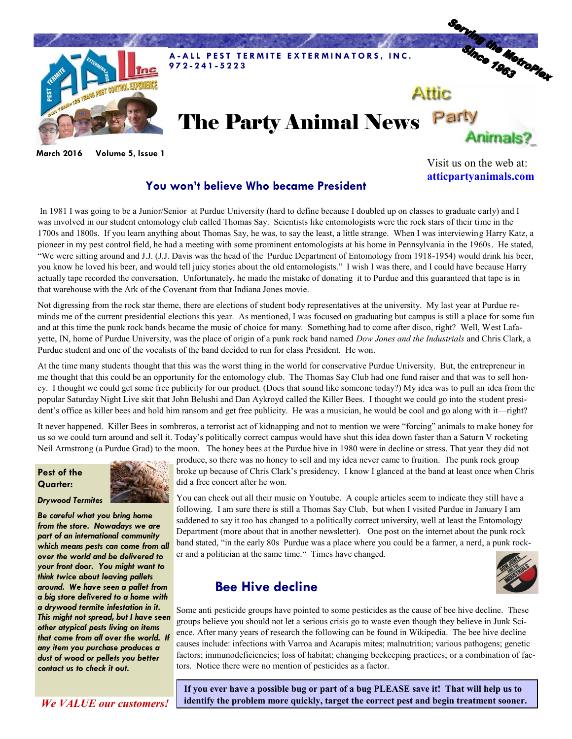

**March 2016 Volume 5, Issue 1**

## **You won't believe Who became President**

In 1981 I was going to be a Junior/Senior at Purdue University (hard to define because I doubled up on classes to graduate early) and I was involved in our student entomology club called Thomas Say. Scientists like entomologists were the rock stars of their time in the 1700s and 1800s. If you learn anything about Thomas Say, he was, to say the least, a little strange. When I was interviewing Harry Katz, a pioneer in my pest control field, he had a meeting with some prominent entomologists at his home in Pennsylvania in the 1960s. He stated, "We were sitting around and J.J. (J.J. Davis was the head of the Purdue Department of Entomology from 1918-1954) would drink his beer,

you know he loved his beer, and would tell juicy stories about the old entomologists." I wish I was there, and I could have because Harry actually tape recorded the conversation. Unfortunately, he made the mistake of donating it to Purdue and this guaranteed that tape is in that warehouse with the Ark of the Covenant from that Indiana Jones movie.

Not digressing from the rock star theme, there are elections of student body representatives at the university. My last year at Purdue reminds me of the current presidential elections this year. As mentioned, I was focused on graduating but campus is still a place for some fun and at this time the punk rock bands became the music of choice for many. Something had to come after disco, right? Well, West Lafayette, IN, home of Purdue University, was the place of origin of a punk rock band named *Dow Jones and the Industrials* and Chris Clark, a Purdue student and one of the vocalists of the band decided to run for class President. He won.

At the time many students thought that this was the worst thing in the world for conservative Purdue University. But, the entrepreneur in me thought that this could be an opportunity for the entomology club. The Thomas Say Club had one fund raiser and that was to sell honey. I thought we could get some free publicity for our product. (Does that sound like someone today?) My idea was to pull an idea from the popular Saturday Night Live skit that John Belushi and Dan Aykroyd called the Killer Bees. I thought we could go into the student president's office as killer bees and hold him ransom and get free publicity. He was a musician, he would be cool and go along with it—right?

It never happened. Killer Bees in sombreros, a terrorist act of kidnapping and not to mention we were "forcing" animals to make honey for us so we could turn around and sell it. Today's politically correct campus would have shut this idea down faster than a Saturn V rocketing Neil Armstrong (a Purdue Grad) to the moon. The honey bees at the Purdue hive in 1980 were in decline or stress. That year they did not

## **Pest of the Quarter:**



*Drywood Termites*

*Be careful what you bring home from the store. Nowadays we are part of an international community which means pests can come from all over the world and be delivered to your front door. You might want to think twice about leaving pallets around. We have seen a pallet from a big store delivered to a home with a drywood termite infestation in it. This might not spread, but I have seen other atypical pests living on items that come from all over the world. If any item you purchase produces a dust of wood or pellets you better contact us to check it out.* 

produce, so there was no honey to sell and my idea never came to fruition. The punk rock group broke up because of Chris Clark's presidency. I know I glanced at the band at least once when Chris did a free concert after he won.

You can check out all their music on Youtube. A couple articles seem to indicate they still have a following. I am sure there is still a Thomas Say Club, but when I visited Purdue in January I am saddened to say it too has changed to a politically correct university, well at least the Entomology Department (more about that in another newsletter). One post on the internet about the punk rock band stated, "in the early 80s Purdue was a place where you could be a farmer, a nerd, a punk rocker and a politician at the same time." Times have changed.

## **Bee Hive decline**



Visit us on the web at: **atticpartyanimals.com**

Some anti pesticide groups have pointed to some pesticides as the cause of bee hive decline. These groups believe you should not let a serious crisis go to waste even though they believe in Junk Science. After many years of research the following can be found in Wikipedia. The bee hive decline causes include: infections with Varroa and Acarapis mites; malnutrition; various pathogens; genetic factors; immunodeficiencies; loss of habitat; changing beekeeping practices; or a combination of factors. Notice there were no mention of pesticides as a factor.

**If you ever have a possible bug or part of a bug PLEASE save it! That will help us to**  *We VALUE our customers!* **identify the problem more quickly, target the correct pest and begin treatment sooner.**